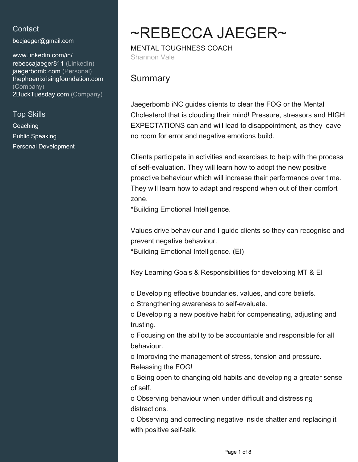## **Contact**

[becjaeger@gmail.com](mailto:becjaeger@gmail.com)

[www.linkedin.com/in/](https://www.linkedin.com/in/rebeccajaeger811?jobid=1234&lipi=urn%3Ali%3Apage%3Ad_jobs_easyapply_pdfgenresume%3BauzowxEhQjqVoHeKt0Nmzg%3D%3D&licu=urn%3Ali%3Acontrol%3Ad_jobs_easyapply_pdfgenresume-v02_profile) [rebeccajaeger811 \(LinkedIn\)](https://www.linkedin.com/in/rebeccajaeger811?jobid=1234&lipi=urn%3Ali%3Apage%3Ad_jobs_easyapply_pdfgenresume%3BauzowxEhQjqVoHeKt0Nmzg%3D%3D&licu=urn%3Ali%3Acontrol%3Ad_jobs_easyapply_pdfgenresume-v02_profile) [jaegerbomb.com \(Personal\)](jaegerbomb.com) <thephoenixrisingfoundation.com> [\(Company\)](thephoenixrisingfoundation.com) [2BuckTuesday.com \(Company\)](www.2BuckTuesday.com)

Top Skills

**Coaching** Public Speaking Personal Development

# ~REBECCA JAEGER~

MENTAL TOUGHNESS COACH Shannon Vale

# **Summary**

Jaegerbomb iNC guides clients to clear the FOG or the Mental Cholesterol that is clouding their mind! Pressure, stressors and HIGH EXPECTATIONS can and will lead to disappointment, as they leave no room for error and negative emotions build.

Clients participate in activities and exercises to help with the process of self-evaluation. They will learn how to adopt the new positive proactive behaviour which will increase their performance over time. They will learn how to adapt and respond when out of their comfort zone.

\*Building Emotional Intelligence.

Values drive behaviour and I guide clients so they can recognise and prevent negative behaviour.

\*Building Emotional Intelligence. (EI)

Key Learning Goals & Responsibilities for developing MT & EI

o Developing effective boundaries, values, and core beliefs.

o Strengthening awareness to self-evaluate.

o Developing a new positive habit for compensating, adjusting and trusting.

o Focusing on the ability to be accountable and responsible for all behaviour.

o Improving the management of stress, tension and pressure. Releasing the FOG!

o Being open to changing old habits and developing a greater sense of self.

o Observing behaviour when under difficult and distressing distractions.

o Observing and correcting negative inside chatter and replacing it with positive self-talk.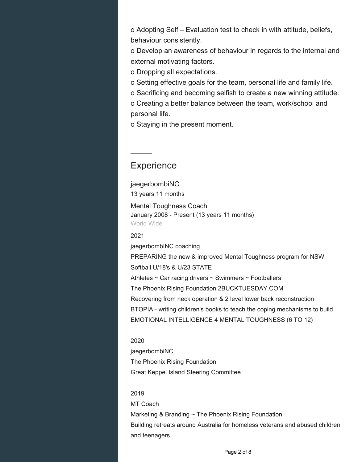o Adopting Self – Evaluation test to check in with attitude, beliefs, behaviour consistently.

o Develop an awareness of behaviour in regards to the internal and external motivating factors.

o Dropping all expectations.

o Setting effective goals for the team, personal life and family life.

o Sacrificing and becoming selfish to create a new winning attitude.

o Creating a better balance between the team, work/school and personal life.

o Staying in the present moment.

## **Experience**

jaegerbombiNC 13 years 11 months

Mental Toughness Coach January 2008 - Present (13 years 11 months) World Wide

2021

jaegerbombINC coaching

PREPARING the new & improved Mental Toughness program for NSW Softball U/18's & U/23 STATE

Athletes ~ Car racing drivers ~ Swimmers ~ Footballers The Phoenix Rising Foundation 2BUCKTUESDAY.COM Recovering from neck operation & 2 level lower back reconstruction BTOPIA - writing children's books to teach the coping mechanisms to build EMOTIONAL INTELLIGENCE 4 MENTAL TOUGHNESS (6 TO 12)

## 2020 jaegerbombiNC The Phoenix Rising Foundation Great Keppel Island Steering Committee

#### 2019

MT Coach

Marketing & Branding ~ The Phoenix Rising Foundation Building retreats around Australia for homeless veterans and abused children and teenagers.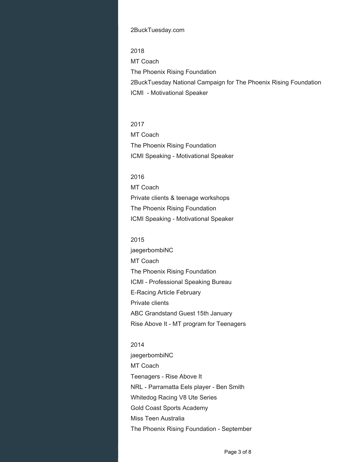#### 2BuckTuesday.com

2018 MT Coach The Phoenix Rising Foundation 2BuckTuesday National Campaign for The Phoenix Rising Foundation ICMI - Motivational Speaker

2017 MT Coach The Phoenix Rising Foundation ICMI Speaking - Motivational Speaker

2016 MT Coach Private clients & teenage workshops The Phoenix Rising Foundation ICMI Speaking - Motivational Speaker

#### 2015

jaegerbombiNC MT Coach The Phoenix Rising Foundation ICMI - Professional Speaking Bureau E-Racing Article February Private clients ABC Grandstand Guest 15th January Rise Above It - MT program for Teenagers

#### 2014

jaegerbombiNC MT Coach Teenagers - Rise Above It NRL - Parramatta Eels player - Ben Smith Whitedog Racing V8 Ute Series Gold Coast Sports Academy Miss Teen Australia The Phoenix Rising Foundation - September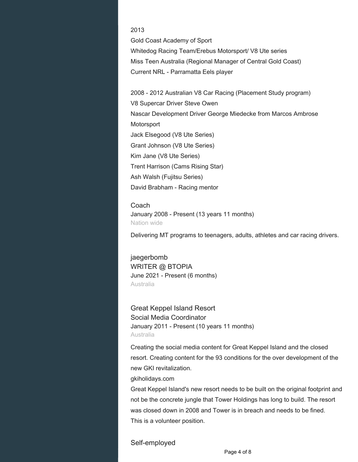#### 2013

Gold Coast Academy of Sport Whitedog Racing Team/Erebus Motorsport/ V8 Ute series Miss Teen Australia (Regional Manager of Central Gold Coast) Current NRL - Parramatta Eels player

2008 - 2012 Australian V8 Car Racing (Placement Study program) V8 Supercar Driver Steve Owen Nascar Development Driver George Miedecke from Marcos Ambrose **Motorsport** Jack Elsegood (V8 Ute Series) Grant Johnson (V8 Ute Series) Kim Jane (V8 Ute Series) Trent Harrison (Cams Rising Star) Ash Walsh (Fujitsu Series) David Brabham - Racing mentor

Coach January 2008 - Present (13 years 11 months) Nation wide

Delivering MT programs to teenagers, adults, athletes and car racing drivers.

jaegerbomb WRITER @ BTOPIA June 2021 - Present (6 months) Australia

Great Keppel Island Resort Social Media Coordinator January 2011 - Present (10 years 11 months) Australia

Creating the social media content for Great Keppel Island and the closed resort. Creating content for the 93 conditions for the over development of the new GKI revitalization.

gkiholidays.com

Great Keppel Island's new resort needs to be built on the original footprint and not be the concrete jungle that Tower Holdings has long to build. The resort was closed down in 2008 and Tower is in breach and needs to be fined. This is a volunteer position.

Self-employed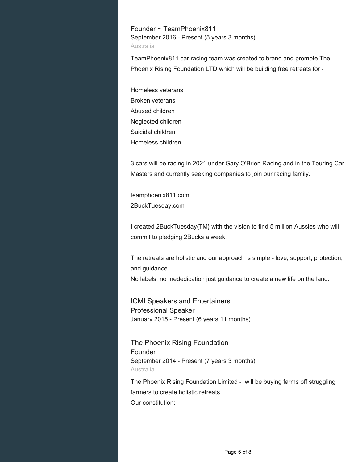Founder ~ TeamPhoenix811 September 2016 - Present (5 years 3 months) Australia

TeamPhoenix811 car racing team was created to brand and promote The Phoenix Rising Foundation LTD which will be building free retreats for -

Homeless veterans Broken veterans Abused children Neglected children Suicidal children Homeless children

3 cars will be racing in 2021 under Gary O'Brien Racing and in the Touring Car Masters and currently seeking companies to join our racing family.

teamphoenix811.com 2BuckTuesday.com

I created 2BuckTuesday{TM} with the vision to find 5 million Aussies who will commit to pledging 2Bucks a week.

The retreats are holistic and our approach is simple - love, support, protection, and guidance.

No labels, no mededication just guidance to create a new life on the land.

ICMI Speakers and Entertainers Professional Speaker January 2015 - Present (6 years 11 months)

The Phoenix Rising Foundation Founder September 2014 - Present (7 years 3 months) Australia

The Phoenix Rising Foundation Limited - will be buying farms off struggling farmers to create holistic retreats. Our constitution: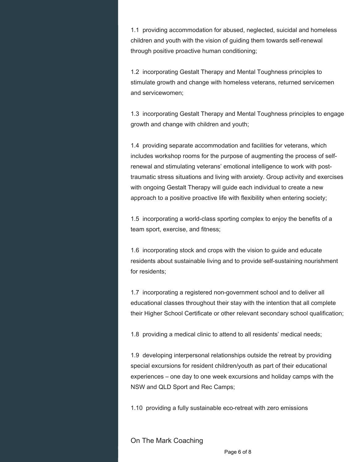1.1 providing accommodation for abused, neglected, suicidal and homeless children and youth with the vision of guiding them towards self-renewal through positive proactive human conditioning;

1.2 incorporating Gestalt Therapy and Mental Toughness principles to stimulate growth and change with homeless veterans, returned servicemen and servicewomen;

1.3 incorporating Gestalt Therapy and Mental Toughness principles to engage growth and change with children and youth;

1.4 providing separate accommodation and facilities for veterans, which includes workshop rooms for the purpose of augmenting the process of selfrenewal and stimulating veterans' emotional intelligence to work with posttraumatic stress situations and living with anxiety. Group activity and exercises with ongoing Gestalt Therapy will guide each individual to create a new approach to a positive proactive life with flexibility when entering society;

1.5 incorporating a world-class sporting complex to enjoy the benefits of a team sport, exercise, and fitness;

1.6 incorporating stock and crops with the vision to guide and educate residents about sustainable living and to provide self-sustaining nourishment for residents;

1.7 incorporating a registered non-government school and to deliver all educational classes throughout their stay with the intention that all complete their Higher School Certificate or other relevant secondary school qualification;

1.8 providing a medical clinic to attend to all residents' medical needs;

1.9 developing interpersonal relationships outside the retreat by providing special excursions for resident children/youth as part of their educational experiences – one day to one week excursions and holiday camps with the NSW and QLD Sport and Rec Camps;

1.10 providing a fully sustainable eco-retreat with zero emissions

On The Mark Coaching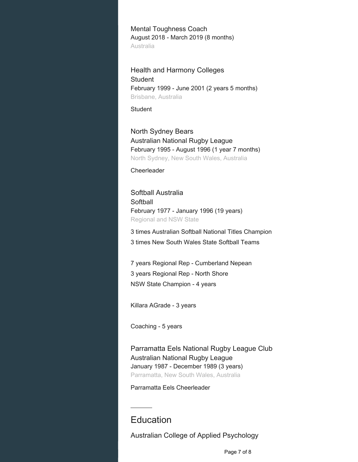Mental Toughness Coach August 2018 - March 2019 (8 months) Australia

Health and Harmony Colleges **Student** February 1999 - June 2001 (2 years 5 months) Brisbane, Australia

Student

North Sydney Bears Australian National Rugby League February 1995 - August 1996 (1 year 7 months) North Sydney, New South Wales, Australia

**Cheerleader** 

Softball Australia **Softball** February 1977 - January 1996 (19 years) Regional and NSW State

3 times Australian Softball National Titles Champion 3 times New South Wales State Softball Teams

7 years Regional Rep - Cumberland Nepean 3 years Regional Rep - North Shore NSW State Champion - 4 years

Killara AGrade - 3 years

Coaching - 5 years

Parramatta Eels National Rugby League Club Australian National Rugby League January 1987 - December 1989 (3 years) Parramatta, New South Wales, Australia

Parramatta Eels Cheerleader

# **Education**

Australian College of Applied Psychology